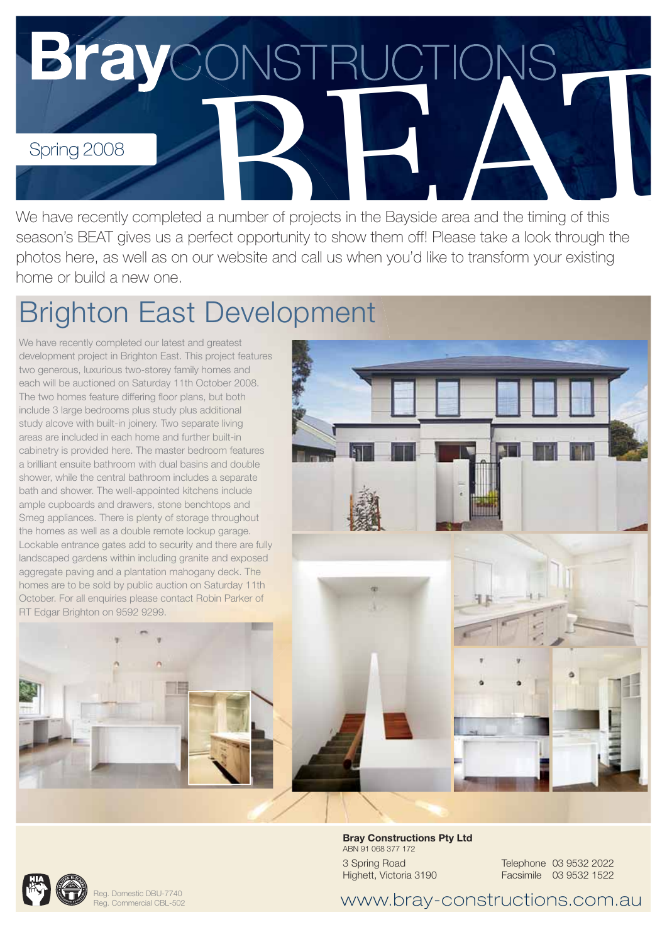

We have recently completed a number of projects in the Bayside area and the timing of this season's BEAT gives us a perfect opportunity to show them off! Please take a look through the photos here, as well as on our website and call us when you'd like to transform your existing home or build a new one.

## Brighton East Development

We have recently completed our latest and greatest development project in Brighton East. This project features two generous, luxurious two-storey family homes and each will be auctioned on Saturday 11th October 2008. The two homes feature differing floor plans, but both include 3 large bedrooms plus study plus additional study alcove with built-in joinery. Two separate living areas are included in each home and further built-in cabinetry is provided here. The master bedroom features a brilliant ensuite bathroom with dual basins and double shower, while the central bathroom includes a separate bath and shower. The well-appointed kitchens include ample cupboards and drawers, stone benchtops and Smeg appliances. There is plenty of storage throughout the homes as well as a double remote lockup garage. Lockable entrance gates add to security and there are fully landscaped gardens within including granite and exposed aggregate paving and a plantation mahogany deck. The homes are to be sold by public auction on Saturday 11th October. For all enquiries please contact Robin Parker of RT Edgar Brighton on 9592 9299.





Reg. Domestic DBU-7740 Reg. Commercial CBL-502 **Bray Constructions Pty Ltd** ABN 91 068 377 172 3 Spring Road Highett, Victoria 3190

Telephone 03 9532 2022 Facsimile 03 9532 1522

www.bray-constructions.com.au